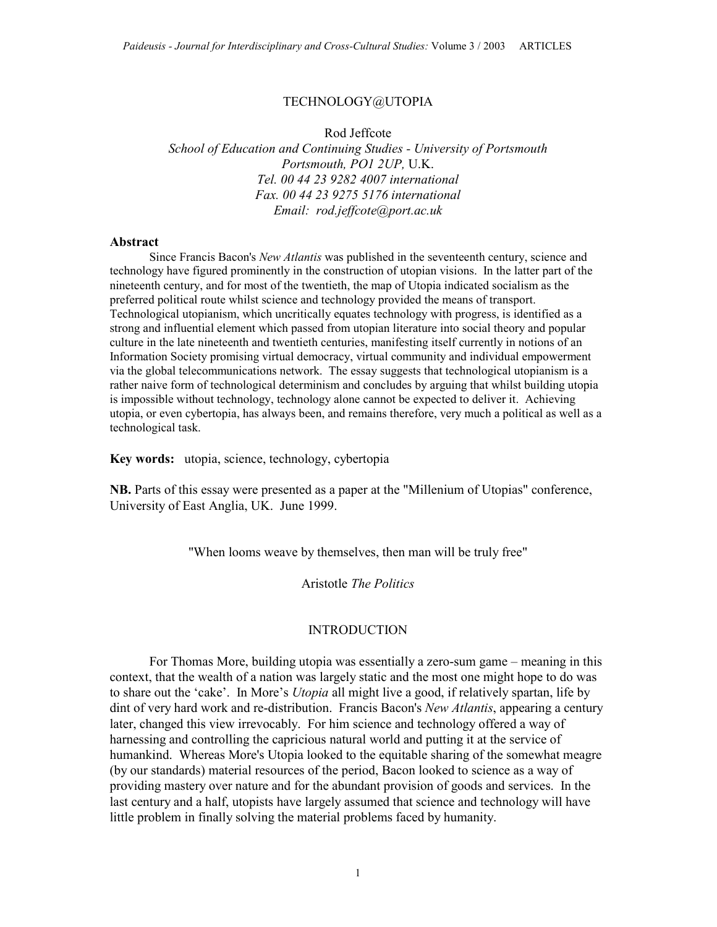#### TECHNOLOGY@UTOPIA

Rod Jeffcote

School of Education and Continuing Studies - University of Portsmouth Portsmouth, PO1 2UP, U.K. Tel. 00 44 23 9282 4007 international Fax. 00 44 23 9275 5176 international Email: rod.jeffcote@port.ac.uk

#### Abstract

Since Francis Bacon's New Atlantis was published in the seventeenth century, science and technology have figured prominently in the construction of utopian visions. In the latter part of the nineteenth century, and for most of the twentieth, the map of Utopia indicated socialism as the preferred political route whilst science and technology provided the means of transport. Technological utopianism, which uncritically equates technology with progress, is identified as a strong and influential element which passed from utopian literature into social theory and popular culture in the late nineteenth and twentieth centuries, manifesting itself currently in notions of an Information Society promising virtual democracy, virtual community and individual empowerment via the global telecommunications network. The essay suggests that technological utopianism is a rather naive form of technological determinism and concludes by arguing that whilst building utopia is impossible without technology, technology alone cannot be expected to deliver it. Achieving utopia, or even cybertopia, has always been, and remains therefore, very much a political as well as a technological task.

Key words: utopia, science, technology, cybertopia

NB. Parts of this essay were presented as a paper at the "Millenium of Utopias" conference, University of East Anglia, UK. June 1999.

"When looms weave by themselves, then man will be truly free"

Aristotle The Politics

#### INTRODUCTION

For Thomas More, building utopia was essentially a zero-sum game – meaning in this context, that the wealth of a nation was largely static and the most one might hope to do was to share out the 'cake'. In More's *Utopia* all might live a good, if relatively spartan, life by dint of very hard work and re-distribution. Francis Bacon's New Atlantis, appearing a century later, changed this view irrevocably. For him science and technology offered a way of harnessing and controlling the capricious natural world and putting it at the service of humankind. Whereas More's Utopia looked to the equitable sharing of the somewhat meagre (by our standards) material resources of the period, Bacon looked to science as a way of providing mastery over nature and for the abundant provision of goods and services. In the last century and a half, utopists have largely assumed that science and technology will have little problem in finally solving the material problems faced by humanity.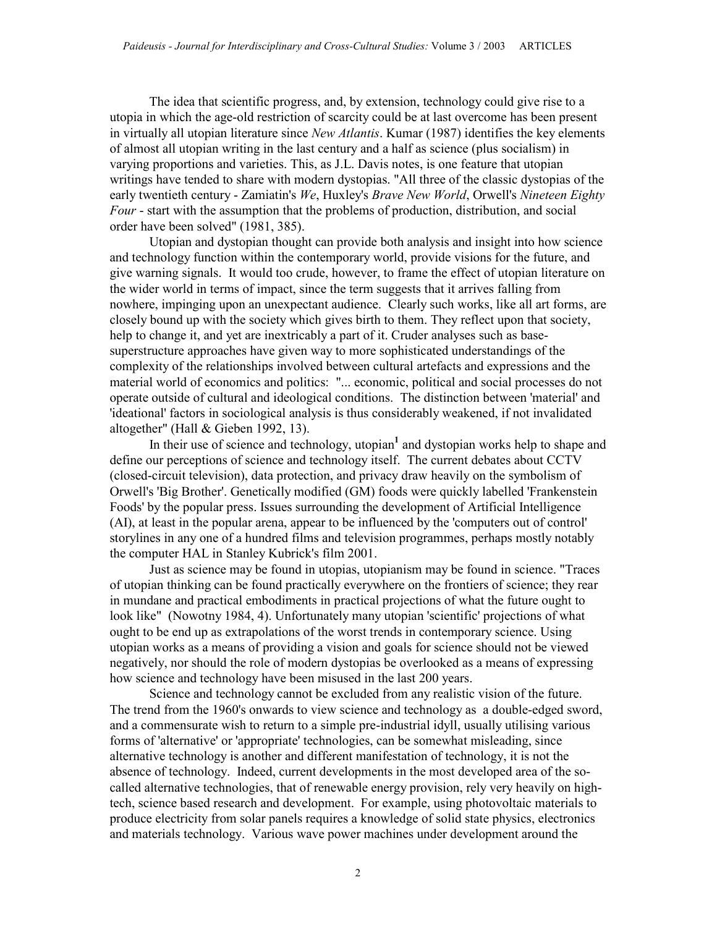The idea that scientific progress, and, by extension, technology could give rise to a utopia in which the age-old restriction of scarcity could be at last overcome has been present in virtually all utopian literature since New Atlantis. Kumar (1987) identifies the key elements of almost all utopian writing in the last century and a half as science (plus socialism) in varying proportions and varieties. This, as J.L. Davis notes, is one feature that utopian writings have tended to share with modern dystopias. "All three of the classic dystopias of the early twentieth century - Zamiatin's We, Huxley's Brave New World, Orwell's Nineteen Eighty Four - start with the assumption that the problems of production, distribution, and social order have been solved" (1981, 385).

Utopian and dystopian thought can provide both analysis and insight into how science and technology function within the contemporary world, provide visions for the future, and give warning signals. It would too crude, however, to frame the effect of utopian literature on the wider world in terms of impact, since the term suggests that it arrives falling from nowhere, impinging upon an unexpectant audience. Clearly such works, like all art forms, are closely bound up with the society which gives birth to them. They reflect upon that society, help to change it, and yet are inextricably a part of it. Cruder analyses such as basesuperstructure approaches have given way to more sophisticated understandings of the complexity of the relationships involved between cultural artefacts and expressions and the material world of economics and politics: "... economic, political and social processes do not operate outside of cultural and ideological conditions. The distinction between 'material' and 'ideational' factors in sociological analysis is thus considerably weakened, if not invalidated altogether" (Hall & Gieben 1992, 13).

In their use of science and technology, utopian $<sup>1</sup>$  and dystopian works help to shape and</sup> define our perceptions of science and technology itself. The current debates about CCTV (closed-circuit television), data protection, and privacy draw heavily on the symbolism of Orwell's 'Big Brother'. Genetically modified (GM) foods were quickly labelled 'Frankenstein Foods' by the popular press. Issues surrounding the development of Artificial Intelligence (AI), at least in the popular arena, appear to be influenced by the 'computers out of control' storylines in any one of a hundred films and television programmes, perhaps mostly notably the computer HAL in Stanley Kubrick's film 2001.

Just as science may be found in utopias, utopianism may be found in science. "Traces of utopian thinking can be found practically everywhere on the frontiers of science; they rear in mundane and practical embodiments in practical projections of what the future ought to look like" (Nowotny 1984, 4). Unfortunately many utopian 'scientific' projections of what ought to be end up as extrapolations of the worst trends in contemporary science. Using utopian works as a means of providing a vision and goals for science should not be viewed negatively, nor should the role of modern dystopias be overlooked as a means of expressing how science and technology have been misused in the last 200 years.

Science and technology cannot be excluded from any realistic vision of the future. The trend from the 1960's onwards to view science and technology as a double-edged sword, and a commensurate wish to return to a simple pre-industrial idyll, usually utilising various forms of 'alternative' or 'appropriate' technologies, can be somewhat misleading, since alternative technology is another and different manifestation of technology, it is not the absence of technology. Indeed, current developments in the most developed area of the socalled alternative technologies, that of renewable energy provision, rely very heavily on hightech, science based research and development. For example, using photovoltaic materials to produce electricity from solar panels requires a knowledge of solid state physics, electronics and materials technology. Various wave power machines under development around the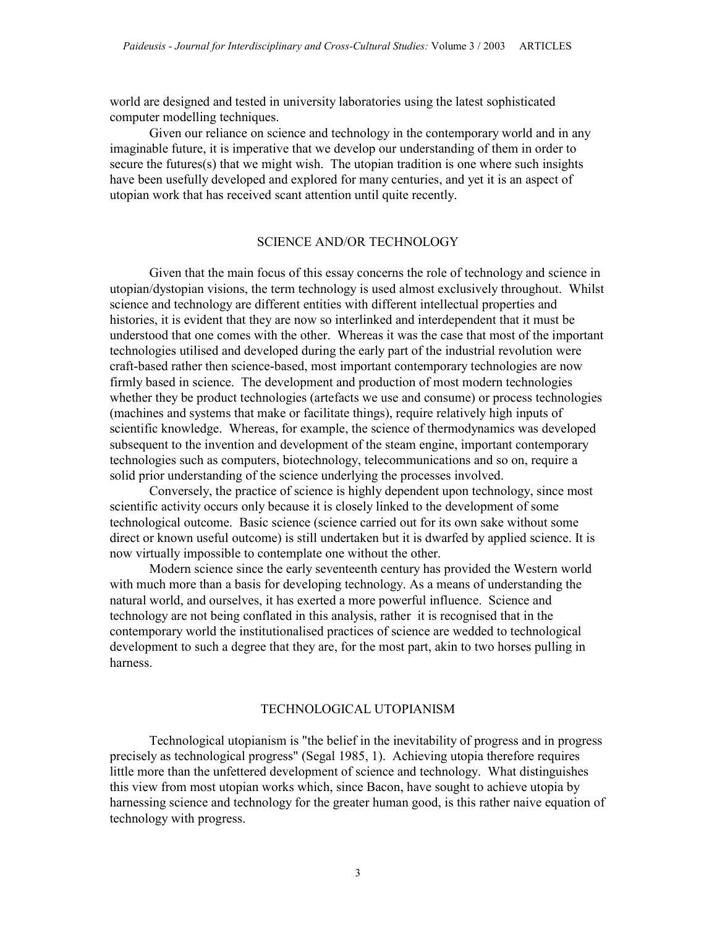world are designed and tested in university laboratories using the latest sophisticated computer modelling techniques.

Given our reliance on science and technology in the contemporary world and in any imaginable future, it is imperative that we develop our understanding of them in order to secure the futures(s) that we might wish. The utopian tradition is one where such insights have been usefully developed and explored for many centuries, and yet it is an aspect of utopian work that has received scant attention until quite recently.

### SCIENCE AND/OR TECHNOLOGY

Given that the main focus of this essay concerns the role of technology and science in utopian/dystopian visions, the term technology is used almost exclusively throughout. Whilst science and technology are different entities with different intellectual properties and histories, it is evident that they are now so interlinked and interdependent that it must be understood that one comes with the other. Whereas it was the case that most of the important technologies utilised and developed during the early part of the industrial revolution were craft-based rather then science-based, most important contemporary technologies are now firmly based in science. The development and production of most modern technologies whether they be product technologies (artefacts we use and consume) or process technologies (machines and systems that make or facilitate things), require relatively high inputs of scientific knowledge. Whereas, for example, the science of thermodynamics was developed subsequent to the invention and development of the steam engine, important contemporary technologies such as computers, biotechnology, telecommunications and so on, require a solid prior understanding of the science underlying the processes involved.

Conversely, the practice of science is highly dependent upon technology, since most scientific activity occurs only because it is closely linked to the development of some technological outcome. Basic science (science carried out for its own sake without some direct or known useful outcome) is still undertaken but it is dwarfed by applied science. It is now virtually impossible to contemplate one without the other.

Modern science since the early seventeenth century has provided the Western world with much more than a basis for developing technology. As a means of understanding the natural world, and ourselves, it has exerted a more powerful influence. Science and technology are not being conflated in this analysis, rather it is recognised that in the contemporary world the institutionalised practices of science are wedded to technological development to such a degree that they are, for the most part, akin to two horses pulling in harness.

### TECHNOLOGICAL UTOPIANISM

Technological utopianism is "the belief in the inevitability of progress and in progress precisely as technological progress" (Segal 1985, 1). Achieving utopia therefore requires little more than the unfettered development of science and technology. What distinguishes this view from most utopian works which, since Bacon, have sought to achieve utopia by harnessing science and technology for the greater human good, is this rather naive equation of technology with progress.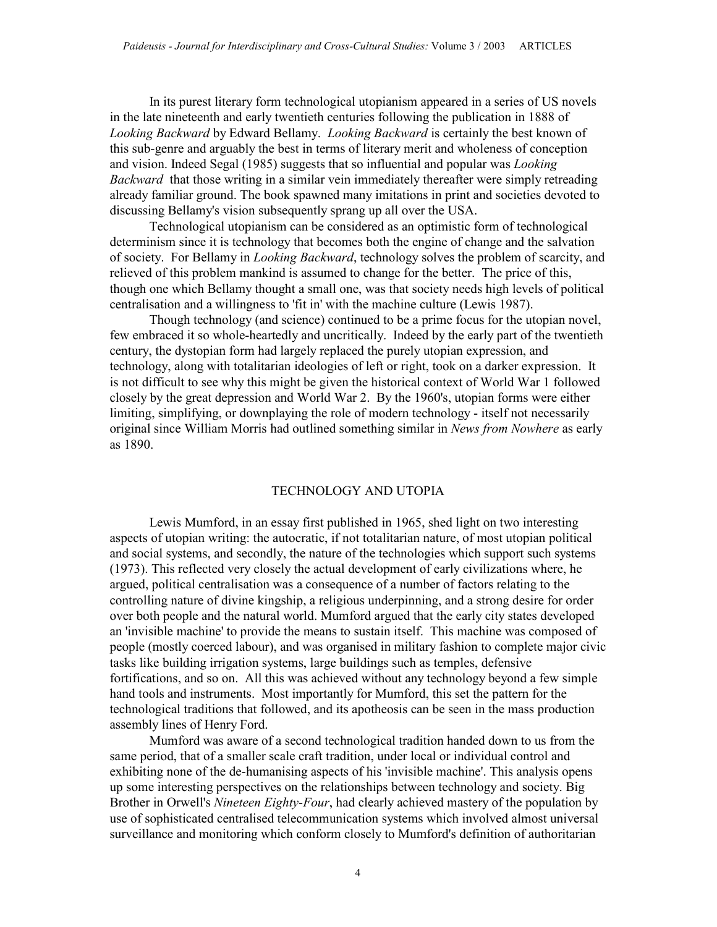In its purest literary form technological utopianism appeared in a series of US novels in the late nineteenth and early twentieth centuries following the publication in 1888 of Looking Backward by Edward Bellamy. Looking Backward is certainly the best known of this sub-genre and arguably the best in terms of literary merit and wholeness of conception and vision. Indeed Segal (1985) suggests that so influential and popular was Looking Backward that those writing in a similar vein immediately thereafter were simply retreading already familiar ground. The book spawned many imitations in print and societies devoted to discussing Bellamy's vision subsequently sprang up all over the USA.

Technological utopianism can be considered as an optimistic form of technological determinism since it is technology that becomes both the engine of change and the salvation of society. For Bellamy in *Looking Backward*, technology solves the problem of scarcity, and relieved of this problem mankind is assumed to change for the better. The price of this, though one which Bellamy thought a small one, was that society needs high levels of political centralisation and a willingness to 'fit in' with the machine culture (Lewis 1987).

Though technology (and science) continued to be a prime focus for the utopian novel, few embraced it so whole-heartedly and uncritically. Indeed by the early part of the twentieth century, the dystopian form had largely replaced the purely utopian expression, and technology, along with totalitarian ideologies of left or right, took on a darker expression. It is not difficult to see why this might be given the historical context of World War 1 followed closely by the great depression and World War 2. By the 1960's, utopian forms were either limiting, simplifying, or downplaying the role of modern technology - itself not necessarily original since William Morris had outlined something similar in News from Nowhere as early as 1890.

### TECHNOLOGY AND UTOPIA

Lewis Mumford, in an essay first published in 1965, shed light on two interesting aspects of utopian writing: the autocratic, if not totalitarian nature, of most utopian political and social systems, and secondly, the nature of the technologies which support such systems (1973). This reflected very closely the actual development of early civilizations where, he argued, political centralisation was a consequence of a number of factors relating to the controlling nature of divine kingship, a religious underpinning, and a strong desire for order over both people and the natural world. Mumford argued that the early city states developed an 'invisible machine' to provide the means to sustain itself. This machine was composed of people (mostly coerced labour), and was organised in military fashion to complete major civic tasks like building irrigation systems, large buildings such as temples, defensive fortifications, and so on. All this was achieved without any technology beyond a few simple hand tools and instruments. Most importantly for Mumford, this set the pattern for the technological traditions that followed, and its apotheosis can be seen in the mass production assembly lines of Henry Ford.

Mumford was aware of a second technological tradition handed down to us from the same period, that of a smaller scale craft tradition, under local or individual control and exhibiting none of the de-humanising aspects of his 'invisible machine'. This analysis opens up some interesting perspectives on the relationships between technology and society. Big Brother in Orwell's *Nineteen Eighty-Four*, had clearly achieved mastery of the population by use of sophisticated centralised telecommunication systems which involved almost universal surveillance and monitoring which conform closely to Mumford's definition of authoritarian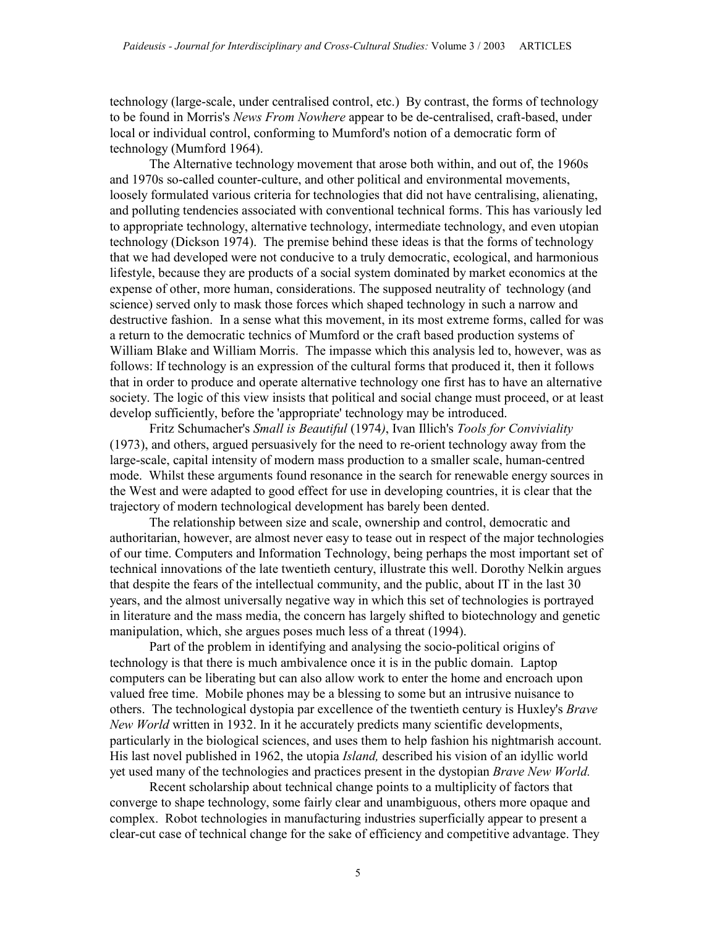technology (large-scale, under centralised control, etc.) By contrast, the forms of technology to be found in Morris's News From Nowhere appear to be de-centralised, craft-based, under local or individual control, conforming to Mumford's notion of a democratic form of technology (Mumford 1964).

The Alternative technology movement that arose both within, and out of, the 1960s and 1970s so-called counter-culture, and other political and environmental movements, loosely formulated various criteria for technologies that did not have centralising, alienating, and polluting tendencies associated with conventional technical forms. This has variously led to appropriate technology, alternative technology, intermediate technology, and even utopian technology (Dickson 1974). The premise behind these ideas is that the forms of technology that we had developed were not conducive to a truly democratic, ecological, and harmonious lifestyle, because they are products of a social system dominated by market economics at the expense of other, more human, considerations. The supposed neutrality of technology (and science) served only to mask those forces which shaped technology in such a narrow and destructive fashion. In a sense what this movement, in its most extreme forms, called for was a return to the democratic technics of Mumford or the craft based production systems of William Blake and William Morris. The impasse which this analysis led to, however, was as follows: If technology is an expression of the cultural forms that produced it, then it follows that in order to produce and operate alternative technology one first has to have an alternative society. The logic of this view insists that political and social change must proceed, or at least develop sufficiently, before the 'appropriate' technology may be introduced.

Fritz Schumacher's Small is Beautiful (1974), Ivan Illich's Tools for Conviviality (1973), and others, argued persuasively for the need to re-orient technology away from the large-scale, capital intensity of modern mass production to a smaller scale, human-centred mode. Whilst these arguments found resonance in the search for renewable energy sources in the West and were adapted to good effect for use in developing countries, it is clear that the trajectory of modern technological development has barely been dented.

The relationship between size and scale, ownership and control, democratic and authoritarian, however, are almost never easy to tease out in respect of the major technologies of our time. Computers and Information Technology, being perhaps the most important set of technical innovations of the late twentieth century, illustrate this well. Dorothy Nelkin argues that despite the fears of the intellectual community, and the public, about IT in the last 30 years, and the almost universally negative way in which this set of technologies is portrayed in literature and the mass media, the concern has largely shifted to biotechnology and genetic manipulation, which, she argues poses much less of a threat (1994).

Part of the problem in identifying and analysing the socio-political origins of technology is that there is much ambivalence once it is in the public domain. Laptop computers can be liberating but can also allow work to enter the home and encroach upon valued free time. Mobile phones may be a blessing to some but an intrusive nuisance to others. The technological dystopia par excellence of the twentieth century is Huxley's Brave New World written in 1932. In it he accurately predicts many scientific developments, particularly in the biological sciences, and uses them to help fashion his nightmarish account. His last novel published in 1962, the utopia *Island*, described his vision of an idyllic world yet used many of the technologies and practices present in the dystopian Brave New World.

Recent scholarship about technical change points to a multiplicity of factors that converge to shape technology, some fairly clear and unambiguous, others more opaque and complex. Robot technologies in manufacturing industries superficially appear to present a clear-cut case of technical change for the sake of efficiency and competitive advantage. They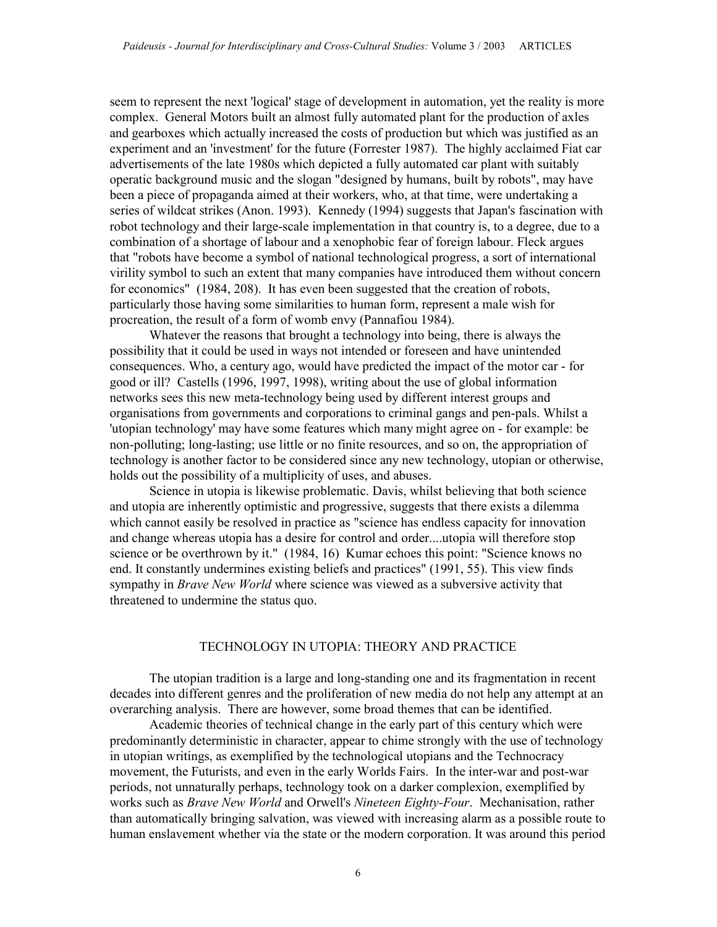seem to represent the next 'logical' stage of development in automation, yet the reality is more complex. General Motors built an almost fully automated plant for the production of axles and gearboxes which actually increased the costs of production but which was justified as an experiment and an 'investment' for the future (Forrester 1987). The highly acclaimed Fiat car advertisements of the late 1980s which depicted a fully automated car plant with suitably operatic background music and the slogan "designed by humans, built by robots", may have been a piece of propaganda aimed at their workers, who, at that time, were undertaking a series of wildcat strikes (Anon. 1993). Kennedy (1994) suggests that Japan's fascination with robot technology and their large-scale implementation in that country is, to a degree, due to a combination of a shortage of labour and a xenophobic fear of foreign labour. Fleck argues that "robots have become a symbol of national technological progress, a sort of international virility symbol to such an extent that many companies have introduced them without concern for economics" (1984, 208). It has even been suggested that the creation of robots, particularly those having some similarities to human form, represent a male wish for procreation, the result of a form of womb envy (Pannafiou 1984).

Whatever the reasons that brought a technology into being, there is always the possibility that it could be used in ways not intended or foreseen and have unintended consequences. Who, a century ago, would have predicted the impact of the motor car - for good or ill? Castells (1996, 1997, 1998), writing about the use of global information networks sees this new meta-technology being used by different interest groups and organisations from governments and corporations to criminal gangs and pen-pals. Whilst a 'utopian technology' may have some features which many might agree on - for example: be non-polluting; long-lasting; use little or no finite resources, and so on, the appropriation of technology is another factor to be considered since any new technology, utopian or otherwise, holds out the possibility of a multiplicity of uses, and abuses.

 Science in utopia is likewise problematic. Davis, whilst believing that both science and utopia are inherently optimistic and progressive, suggests that there exists a dilemma which cannot easily be resolved in practice as "science has endless capacity for innovation and change whereas utopia has a desire for control and order....utopia will therefore stop science or be overthrown by it." (1984, 16) Kumar echoes this point: "Science knows no end. It constantly undermines existing beliefs and practices" (1991, 55). This view finds sympathy in *Brave New World* where science was viewed as a subversive activity that threatened to undermine the status quo.

### TECHNOLOGY IN UTOPIA: THEORY AND PRACTICE

The utopian tradition is a large and long-standing one and its fragmentation in recent decades into different genres and the proliferation of new media do not help any attempt at an overarching analysis. There are however, some broad themes that can be identified.

Academic theories of technical change in the early part of this century which were predominantly deterministic in character, appear to chime strongly with the use of technology in utopian writings, as exemplified by the technological utopians and the Technocracy movement, the Futurists, and even in the early Worlds Fairs. In the inter-war and post-war periods, not unnaturally perhaps, technology took on a darker complexion, exemplified by works such as *Brave New World* and Orwell's Nineteen Eighty-Four. Mechanisation, rather than automatically bringing salvation, was viewed with increasing alarm as a possible route to human enslavement whether via the state or the modern corporation. It was around this period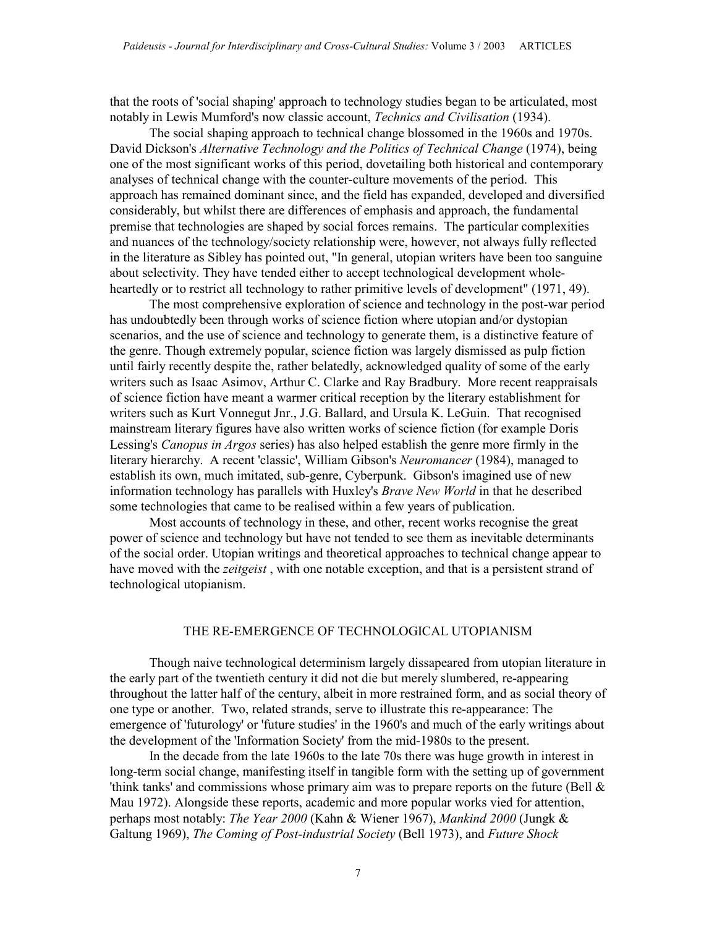that the roots of 'social shaping' approach to technology studies began to be articulated, most notably in Lewis Mumford's now classic account, *Technics and Civilisation* (1934).

The social shaping approach to technical change blossomed in the 1960s and 1970s. David Dickson's Alternative Technology and the Politics of Technical Change (1974), being one of the most significant works of this period, dovetailing both historical and contemporary analyses of technical change with the counter-culture movements of the period. This approach has remained dominant since, and the field has expanded, developed and diversified considerably, but whilst there are differences of emphasis and approach, the fundamental premise that technologies are shaped by social forces remains. The particular complexities and nuances of the technology/society relationship were, however, not always fully reflected in the literature as Sibley has pointed out, "In general, utopian writers have been too sanguine about selectivity. They have tended either to accept technological development wholeheartedly or to restrict all technology to rather primitive levels of development" (1971, 49).

 The most comprehensive exploration of science and technology in the post-war period has undoubtedly been through works of science fiction where utopian and/or dystopian scenarios, and the use of science and technology to generate them, is a distinctive feature of the genre. Though extremely popular, science fiction was largely dismissed as pulp fiction until fairly recently despite the, rather belatedly, acknowledged quality of some of the early writers such as Isaac Asimov, Arthur C. Clarke and Ray Bradbury. More recent reappraisals of science fiction have meant a warmer critical reception by the literary establishment for writers such as Kurt Vonnegut Jnr., J.G. Ballard, and Ursula K. LeGuin. That recognised mainstream literary figures have also written works of science fiction (for example Doris Lessing's Canopus in Argos series) has also helped establish the genre more firmly in the literary hierarchy. A recent 'classic', William Gibson's Neuromancer (1984), managed to establish its own, much imitated, sub-genre, Cyberpunk. Gibson's imagined use of new information technology has parallels with Huxley's Brave New World in that he described some technologies that came to be realised within a few years of publication.

Most accounts of technology in these, and other, recent works recognise the great power of science and technology but have not tended to see them as inevitable determinants of the social order. Utopian writings and theoretical approaches to technical change appear to have moved with the *zeitgeist*, with one notable exception, and that is a persistent strand of technological utopianism.

## THE RE-EMERGENCE OF TECHNOLOGICAL UTOPIANISM

Though naive technological determinism largely dissapeared from utopian literature in the early part of the twentieth century it did not die but merely slumbered, re-appearing throughout the latter half of the century, albeit in more restrained form, and as social theory of one type or another. Two, related strands, serve to illustrate this re-appearance: The emergence of 'futurology' or 'future studies' in the 1960's and much of the early writings about the development of the 'Information Society' from the mid-1980s to the present.

In the decade from the late 1960s to the late 70s there was huge growth in interest in long-term social change, manifesting itself in tangible form with the setting up of government 'think tanks' and commissions whose primary aim was to prepare reports on the future (Bell  $\&$ Mau 1972). Alongside these reports, academic and more popular works vied for attention, perhaps most notably: The Year 2000 (Kahn & Wiener 1967), Mankind 2000 (Jungk & Galtung 1969), The Coming of Post-industrial Society (Bell 1973), and Future Shock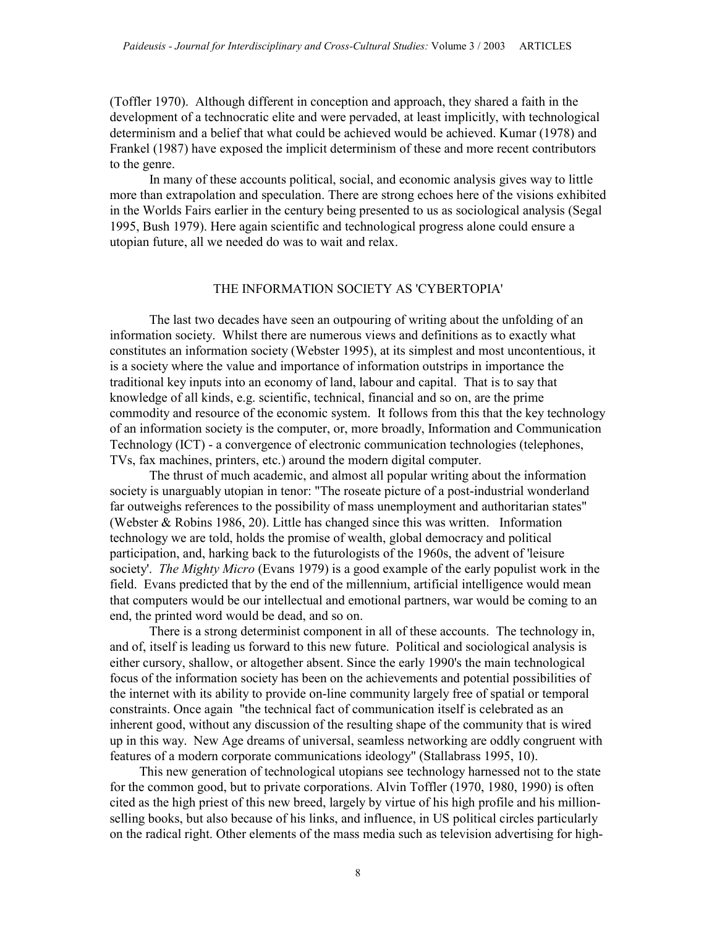(Toffler 1970). Although different in conception and approach, they shared a faith in the development of a technocratic elite and were pervaded, at least implicitly, with technological determinism and a belief that what could be achieved would be achieved. Kumar (1978) and Frankel (1987) have exposed the implicit determinism of these and more recent contributors to the genre.

In many of these accounts political, social, and economic analysis gives way to little more than extrapolation and speculation. There are strong echoes here of the visions exhibited in the Worlds Fairs earlier in the century being presented to us as sociological analysis (Segal 1995, Bush 1979). Here again scientific and technological progress alone could ensure a utopian future, all we needed do was to wait and relax.

### THE INFORMATION SOCIETY AS 'CYBERTOPIA'

The last two decades have seen an outpouring of writing about the unfolding of an information society. Whilst there are numerous views and definitions as to exactly what constitutes an information society (Webster 1995), at its simplest and most uncontentious, it is a society where the value and importance of information outstrips in importance the traditional key inputs into an economy of land, labour and capital. That is to say that knowledge of all kinds, e.g. scientific, technical, financial and so on, are the prime commodity and resource of the economic system. It follows from this that the key technology of an information society is the computer, or, more broadly, Information and Communication Technology (ICT) - a convergence of electronic communication technologies (telephones, TVs, fax machines, printers, etc.) around the modern digital computer.

The thrust of much academic, and almost all popular writing about the information society is unarguably utopian in tenor: "The roseate picture of a post-industrial wonderland far outweighs references to the possibility of mass unemployment and authoritarian states" (Webster  $\&$  Robins 1986, 20). Little has changed since this was written. Information technology we are told, holds the promise of wealth, global democracy and political participation, and, harking back to the futurologists of the 1960s, the advent of 'leisure society'. *The Mighty Micro* (Evans 1979) is a good example of the early populist work in the field. Evans predicted that by the end of the millennium, artificial intelligence would mean that computers would be our intellectual and emotional partners, war would be coming to an end, the printed word would be dead, and so on.

There is a strong determinist component in all of these accounts. The technology in, and of, itself is leading us forward to this new future. Political and sociological analysis is either cursory, shallow, or altogether absent. Since the early 1990's the main technological focus of the information society has been on the achievements and potential possibilities of the internet with its ability to provide on-line community largely free of spatial or temporal constraints. Once again "the technical fact of communication itself is celebrated as an inherent good, without any discussion of the resulting shape of the community that is wired up in this way. New Age dreams of universal, seamless networking are oddly congruent with features of a modern corporate communications ideology" (Stallabrass 1995, 10).

This new generation of technological utopians see technology harnessed not to the state for the common good, but to private corporations. Alvin Toffler (1970, 1980, 1990) is often cited as the high priest of this new breed, largely by virtue of his high profile and his millionselling books, but also because of his links, and influence, in US political circles particularly on the radical right. Other elements of the mass media such as television advertising for high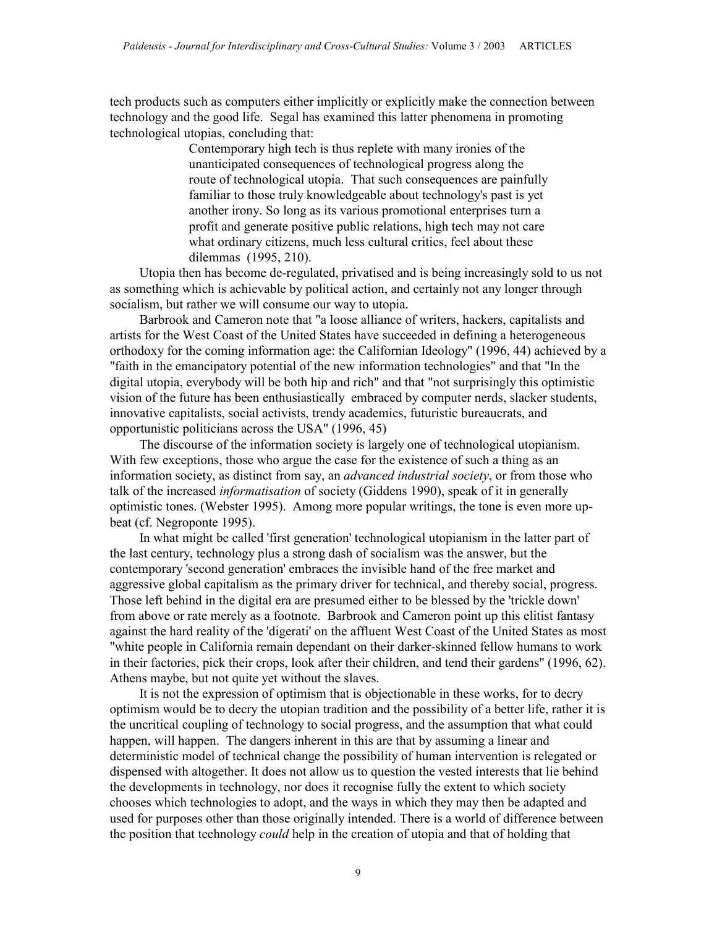tech products such as computers either implicitly or explicitly make the connection between technology and the good life. Segal has examined this latter phenomena in promoting technological utopias, concluding that:

> Contemporary high tech is thus replete with many ironies of the unanticipated consequences of technological progress along the route of technological utopia. That such consequences are painfully familiar to those truly knowledgeable about technology's past is yet another irony. So long as its various promotional enterprises turn a profit and generate positive public relations, high tech may not care what ordinary citizens, much less cultural critics, feel about these dilemmas (1995, 210).

Utopia then has become de-regulated, privatised and is being increasingly sold to us not as something which is achievable by political action, and certainly not any longer through socialism, but rather we will consume our way to utopia.

Barbrook and Cameron note that "a loose alliance of writers, hackers, capitalists and artists for the West Coast of the United States have succeeded in defining a heterogeneous orthodoxy for the coming information age: the Californian Ideology" (1996, 44) achieved by a "faith in the emancipatory potential of the new information technologies" and that "In the digital utopia, everybody will be both hip and rich" and that "not surprisingly this optimistic vision of the future has been enthusiastically embraced by computer nerds, slacker students, innovative capitalists, social activists, trendy academics, futuristic bureaucrats, and opportunistic politicians across the USA" (1996, 45)

The discourse of the information society is largely one of technological utopianism. With few exceptions, those who argue the case for the existence of such a thing as an information society, as distinct from say, an *advanced industrial society*, or from those who talk of the increased *informatisation* of society (Giddens 1990), speak of it in generally optimistic tones. (Webster 1995). Among more popular writings, the tone is even more upbeat (cf. Negroponte 1995).

In what might be called 'first generation' technological utopianism in the latter part of the last century, technology plus a strong dash of socialism was the answer, but the contemporary 'second generation' embraces the invisible hand of the free market and aggressive global capitalism as the primary driver for technical, and thereby social, progress. Those left behind in the digital era are presumed either to be blessed by the 'trickle down' from above or rate merely as a footnote. Barbrook and Cameron point up this elitist fantasy against the hard reality of the 'digerati' on the affluent West Coast of the United States as most "white people in California remain dependant on their darker-skinned fellow humans to work in their factories, pick their crops, look after their children, and tend their gardens" (1996, 62). Athens maybe, but not quite yet without the slaves.

It is not the expression of optimism that is objectionable in these works, for to decry optimism would be to decry the utopian tradition and the possibility of a better life, rather it is the uncritical coupling of technology to social progress, and the assumption that what could happen, will happen. The dangers inherent in this are that by assuming a linear and deterministic model of technical change the possibility of human intervention is relegated or dispensed with altogether. It does not allow us to question the vested interests that lie behind the developments in technology, nor does it recognise fully the extent to which society chooses which technologies to adopt, and the ways in which they may then be adapted and used for purposes other than those originally intended. There is a world of difference between the position that technology *could* help in the creation of utopia and that of holding that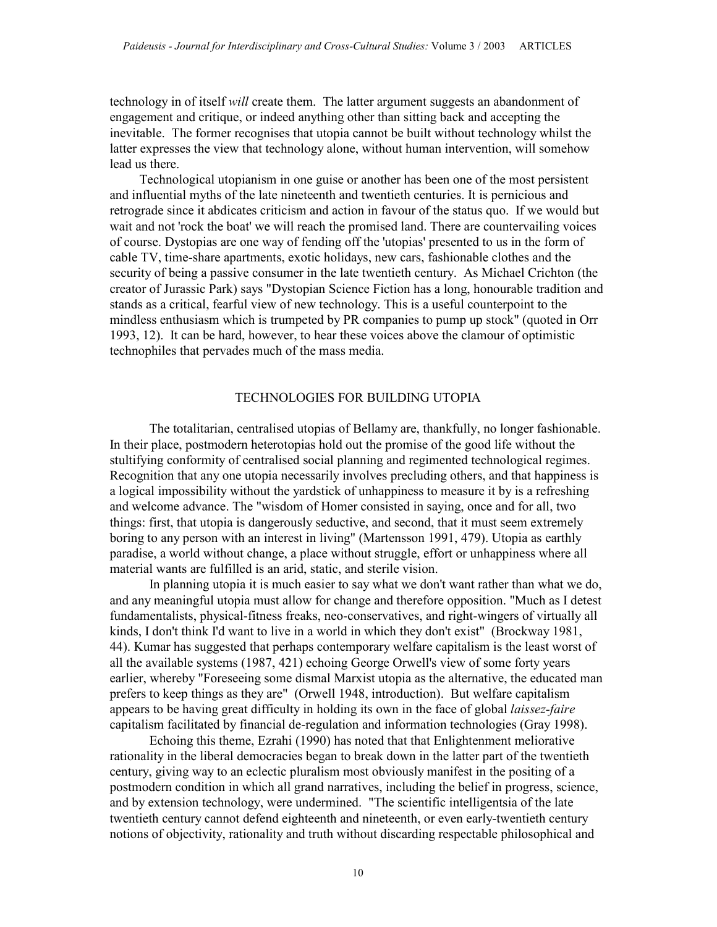technology in of itself will create them. The latter argument suggests an abandonment of engagement and critique, or indeed anything other than sitting back and accepting the inevitable. The former recognises that utopia cannot be built without technology whilst the latter expresses the view that technology alone, without human intervention, will somehow lead us there.

Technological utopianism in one guise or another has been one of the most persistent and influential myths of the late nineteenth and twentieth centuries. It is pernicious and retrograde since it abdicates criticism and action in favour of the status quo. If we would but wait and not 'rock the boat' we will reach the promised land. There are countervailing voices of course. Dystopias are one way of fending off the 'utopias' presented to us in the form of cable TV, time-share apartments, exotic holidays, new cars, fashionable clothes and the security of being a passive consumer in the late twentieth century. As Michael Crichton (the creator of Jurassic Park) says "Dystopian Science Fiction has a long, honourable tradition and stands as a critical, fearful view of new technology. This is a useful counterpoint to the mindless enthusiasm which is trumpeted by PR companies to pump up stock" (quoted in Orr 1993, 12). It can be hard, however, to hear these voices above the clamour of optimistic technophiles that pervades much of the mass media.

### TECHNOLOGIES FOR BUILDING UTOPIA

The totalitarian, centralised utopias of Bellamy are, thankfully, no longer fashionable. In their place, postmodern heterotopias hold out the promise of the good life without the stultifying conformity of centralised social planning and regimented technological regimes. Recognition that any one utopia necessarily involves precluding others, and that happiness is a logical impossibility without the yardstick of unhappiness to measure it by is a refreshing and welcome advance. The "wisdom of Homer consisted in saying, once and for all, two things: first, that utopia is dangerously seductive, and second, that it must seem extremely boring to any person with an interest in living" (Martensson 1991, 479). Utopia as earthly paradise, a world without change, a place without struggle, effort or unhappiness where all material wants are fulfilled is an arid, static, and sterile vision.

In planning utopia it is much easier to say what we don't want rather than what we do, and any meaningful utopia must allow for change and therefore opposition. "Much as I detest fundamentalists, physical-fitness freaks, neo-conservatives, and right-wingers of virtually all kinds, I don't think I'd want to live in a world in which they don't exist" (Brockway 1981, 44). Kumar has suggested that perhaps contemporary welfare capitalism is the least worst of all the available systems (1987, 421) echoing George Orwell's view of some forty years earlier, whereby "Foreseeing some dismal Marxist utopia as the alternative, the educated man prefers to keep things as they are" (Orwell 1948, introduction). But welfare capitalism appears to be having great difficulty in holding its own in the face of global *laissez-faire* capitalism facilitated by financial de-regulation and information technologies (Gray 1998).

Echoing this theme, Ezrahi (1990) has noted that that Enlightenment meliorative rationality in the liberal democracies began to break down in the latter part of the twentieth century, giving way to an eclectic pluralism most obviously manifest in the positing of a postmodern condition in which all grand narratives, including the belief in progress, science, and by extension technology, were undermined. "The scientific intelligentsia of the late twentieth century cannot defend eighteenth and nineteenth, or even early-twentieth century notions of objectivity, rationality and truth without discarding respectable philosophical and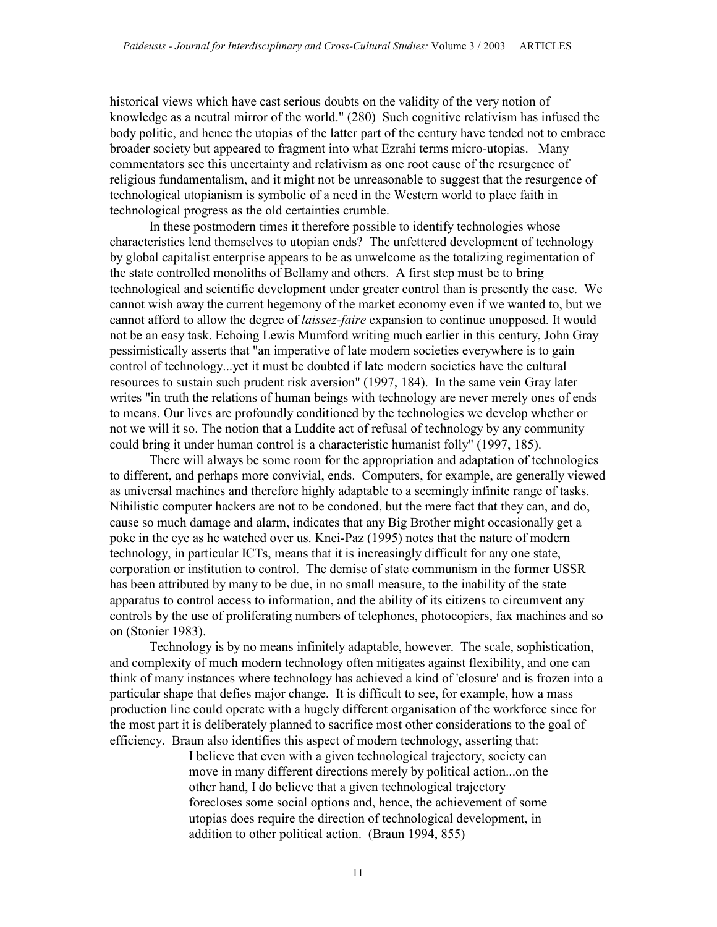historical views which have cast serious doubts on the validity of the very notion of knowledge as a neutral mirror of the world." (280) Such cognitive relativism has infused the body politic, and hence the utopias of the latter part of the century have tended not to embrace broader society but appeared to fragment into what Ezrahi terms micro-utopias. Many commentators see this uncertainty and relativism as one root cause of the resurgence of religious fundamentalism, and it might not be unreasonable to suggest that the resurgence of technological utopianism is symbolic of a need in the Western world to place faith in technological progress as the old certainties crumble.

In these postmodern times it therefore possible to identify technologies whose characteristics lend themselves to utopian ends? The unfettered development of technology by global capitalist enterprise appears to be as unwelcome as the totalizing regimentation of the state controlled monoliths of Bellamy and others. A first step must be to bring technological and scientific development under greater control than is presently the case. We cannot wish away the current hegemony of the market economy even if we wanted to, but we cannot afford to allow the degree of *laissez-faire* expansion to continue unopposed. It would not be an easy task. Echoing Lewis Mumford writing much earlier in this century, John Gray pessimistically asserts that "an imperative of late modern societies everywhere is to gain control of technology...yet it must be doubted if late modern societies have the cultural resources to sustain such prudent risk aversion" (1997, 184). In the same vein Gray later writes "in truth the relations of human beings with technology are never merely ones of ends to means. Our lives are profoundly conditioned by the technologies we develop whether or not we will it so. The notion that a Luddite act of refusal of technology by any community could bring it under human control is a characteristic humanist folly" (1997, 185).

There will always be some room for the appropriation and adaptation of technologies to different, and perhaps more convivial, ends. Computers, for example, are generally viewed as universal machines and therefore highly adaptable to a seemingly infinite range of tasks. Nihilistic computer hackers are not to be condoned, but the mere fact that they can, and do, cause so much damage and alarm, indicates that any Big Brother might occasionally get a poke in the eye as he watched over us. Knei-Paz (1995) notes that the nature of modern technology, in particular ICTs, means that it is increasingly difficult for any one state, corporation or institution to control. The demise of state communism in the former USSR has been attributed by many to be due, in no small measure, to the inability of the state apparatus to control access to information, and the ability of its citizens to circumvent any controls by the use of proliferating numbers of telephones, photocopiers, fax machines and so on (Stonier 1983).

Technology is by no means infinitely adaptable, however. The scale, sophistication, and complexity of much modern technology often mitigates against flexibility, and one can think of many instances where technology has achieved a kind of 'closure' and is frozen into a particular shape that defies major change. It is difficult to see, for example, how a mass production line could operate with a hugely different organisation of the workforce since for the most part it is deliberately planned to sacrifice most other considerations to the goal of efficiency. Braun also identifies this aspect of modern technology, asserting that:

> I believe that even with a given technological trajectory, society can move in many different directions merely by political action...on the other hand, I do believe that a given technological trajectory forecloses some social options and, hence, the achievement of some utopias does require the direction of technological development, in addition to other political action. (Braun 1994, 855)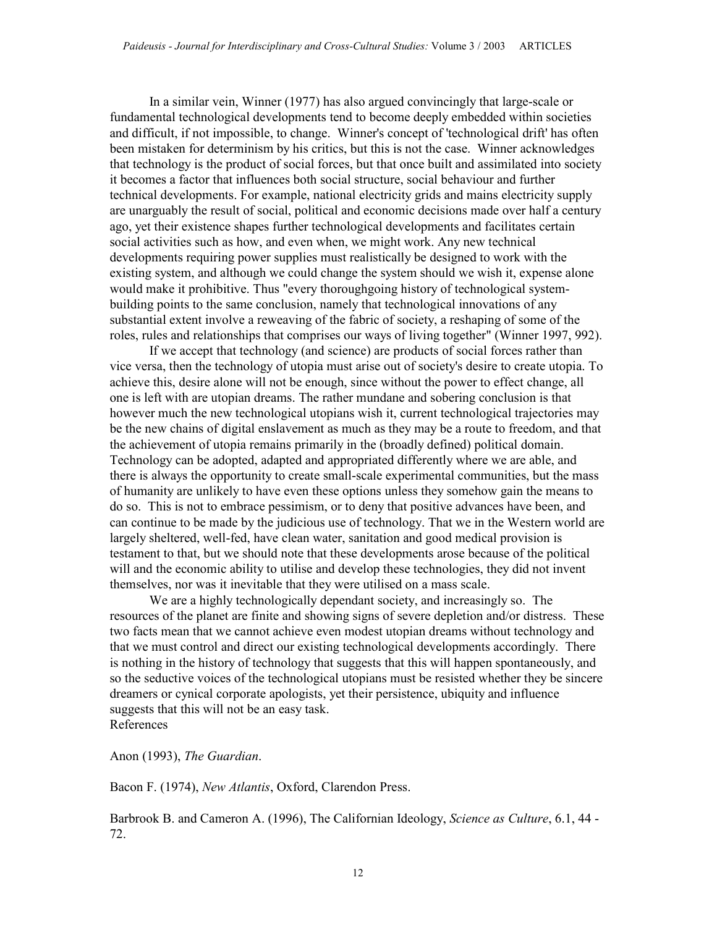In a similar vein, Winner (1977) has also argued convincingly that large-scale or fundamental technological developments tend to become deeply embedded within societies and difficult, if not impossible, to change. Winner's concept of 'technological drift' has often been mistaken for determinism by his critics, but this is not the case. Winner acknowledges that technology is the product of social forces, but that once built and assimilated into society it becomes a factor that influences both social structure, social behaviour and further technical developments. For example, national electricity grids and mains electricity supply are unarguably the result of social, political and economic decisions made over half a century ago, yet their existence shapes further technological developments and facilitates certain social activities such as how, and even when, we might work. Any new technical developments requiring power supplies must realistically be designed to work with the existing system, and although we could change the system should we wish it, expense alone would make it prohibitive. Thus "every thoroughgoing history of technological systembuilding points to the same conclusion, namely that technological innovations of any substantial extent involve a reweaving of the fabric of society, a reshaping of some of the roles, rules and relationships that comprises our ways of living together" (Winner 1997, 992).

If we accept that technology (and science) are products of social forces rather than vice versa, then the technology of utopia must arise out of society's desire to create utopia. To achieve this, desire alone will not be enough, since without the power to effect change, all one is left with are utopian dreams. The rather mundane and sobering conclusion is that however much the new technological utopians wish it, current technological trajectories may be the new chains of digital enslavement as much as they may be a route to freedom, and that the achievement of utopia remains primarily in the (broadly defined) political domain. Technology can be adopted, adapted and appropriated differently where we are able, and there is always the opportunity to create small-scale experimental communities, but the mass of humanity are unlikely to have even these options unless they somehow gain the means to do so. This is not to embrace pessimism, or to deny that positive advances have been, and can continue to be made by the judicious use of technology. That we in the Western world are largely sheltered, well-fed, have clean water, sanitation and good medical provision is testament to that, but we should note that these developments arose because of the political will and the economic ability to utilise and develop these technologies, they did not invent themselves, nor was it inevitable that they were utilised on a mass scale.

We are a highly technologically dependant society, and increasingly so. The resources of the planet are finite and showing signs of severe depletion and/or distress. These two facts mean that we cannot achieve even modest utopian dreams without technology and that we must control and direct our existing technological developments accordingly. There is nothing in the history of technology that suggests that this will happen spontaneously, and so the seductive voices of the technological utopians must be resisted whether they be sincere dreamers or cynical corporate apologists, yet their persistence, ubiquity and influence suggests that this will not be an easy task. References

Anon (1993), The Guardian.

Bacon F. (1974), New Atlantis, Oxford, Clarendon Press.

Barbrook B. and Cameron A. (1996), The Californian Ideology, *Science as Culture*, 6.1, 44 -72.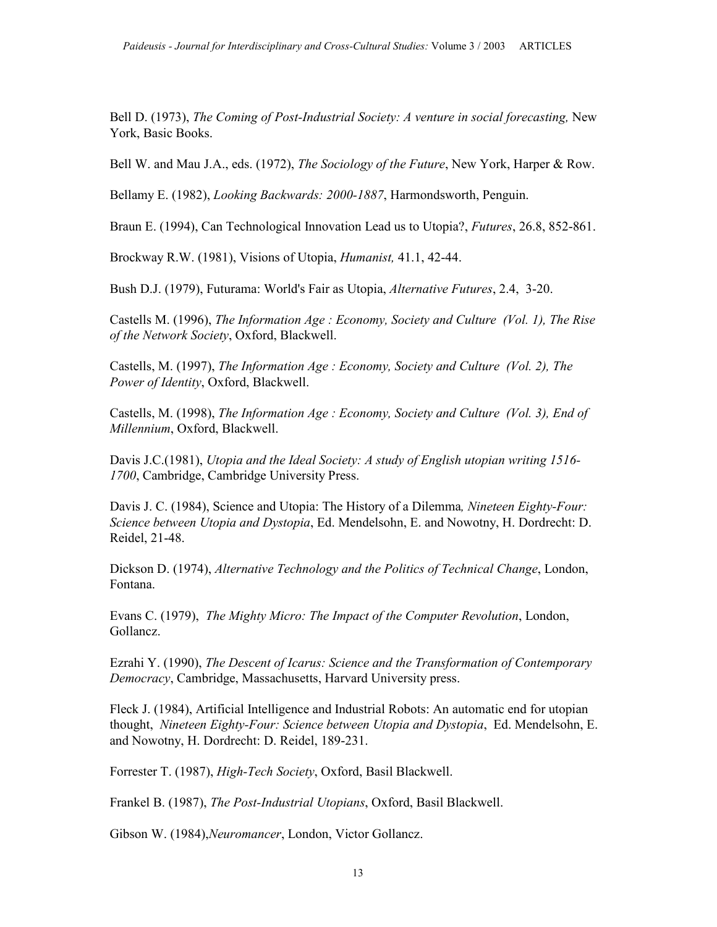Bell D. (1973), The Coming of Post-Industrial Society: A venture in social forecasting, New York, Basic Books.

Bell W. and Mau J.A., eds. (1972), *The Sociology of the Future*, New York, Harper & Row.

Bellamy E. (1982), Looking Backwards: 2000-1887, Harmondsworth, Penguin.

Braun E. (1994), Can Technological Innovation Lead us to Utopia?, *Futures*, 26.8, 852-861.

Brockway R.W. (1981), Visions of Utopia, Humanist, 41.1, 42-44.

Bush D.J. (1979), Futurama: World's Fair as Utopia, Alternative Futures, 2.4, 3-20.

Castells M. (1996), The Information Age : Economy, Society and Culture (Vol. 1), The Rise of the Network Society, Oxford, Blackwell.

Castells, M. (1997), The Information Age : Economy, Society and Culture (Vol. 2), The Power of Identity, Oxford, Blackwell.

Castells, M. (1998), The Information Age : Economy, Society and Culture (Vol. 3), End of Millennium, Oxford, Blackwell.

Davis J.C.(1981), Utopia and the Ideal Society: A study of English utopian writing 1516-1700, Cambridge, Cambridge University Press.

Davis J. C. (1984), Science and Utopia: The History of a Dilemma, Nineteen Eighty-Four: Science between Utopia and Dystopia, Ed. Mendelsohn, E. and Nowotny, H. Dordrecht: D. Reidel, 21-48.

Dickson D. (1974), Alternative Technology and the Politics of Technical Change, London, Fontana.

Evans C. (1979), The Mighty Micro: The Impact of the Computer Revolution, London, Gollancz.

Ezrahi Y. (1990), The Descent of Icarus: Science and the Transformation of Contemporary Democracy, Cambridge, Massachusetts, Harvard University press.

Fleck J. (1984), Artificial Intelligence and Industrial Robots: An automatic end for utopian thought, Nineteen Eighty-Four: Science between Utopia and Dystopia, Ed. Mendelsohn, E. and Nowotny, H. Dordrecht: D. Reidel, 189-231.

Forrester T. (1987), High-Tech Society, Oxford, Basil Blackwell.

Frankel B. (1987), The Post-Industrial Utopians, Oxford, Basil Blackwell.

Gibson W. (1984), Neuromancer, London, Victor Gollancz.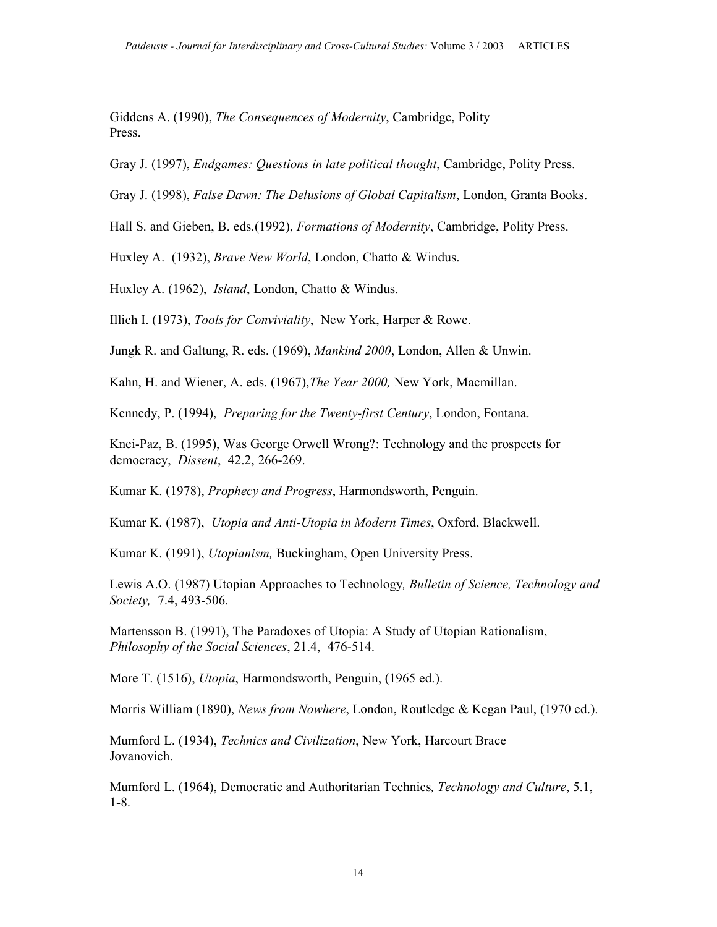Giddens A. (1990), The Consequences of Modernity, Cambridge, Polity Press.

Gray J. (1997), *Endgames: Questions in late political thought*, Cambridge, Polity Press.

Gray J. (1998), False Dawn: The Delusions of Global Capitalism, London, Granta Books.

Hall S. and Gieben, B. eds.(1992), Formations of Modernity, Cambridge, Polity Press.

Huxley A. (1932), Brave New World, London, Chatto & Windus.

Huxley A. (1962), *Island*, London, Chatto & Windus.

Illich I. (1973), Tools for Conviviality, New York, Harper & Rowe.

Jungk R. and Galtung, R. eds. (1969), Mankind 2000, London, Allen & Unwin.

Kahn, H. and Wiener, A. eds. (1967),The Year 2000, New York, Macmillan.

Kennedy, P. (1994), *Preparing for the Twenty-first Century*, London, Fontana.

Knei-Paz, B. (1995), Was George Orwell Wrong?: Technology and the prospects for democracy, Dissent, 42.2, 266-269.

Kumar K. (1978), *Prophecy and Progress*, Harmondsworth, Penguin.

Kumar K. (1987), Utopia and Anti-Utopia in Modern Times, Oxford, Blackwell.

Kumar K. (1991), Utopianism, Buckingham, Open University Press.

Lewis A.O. (1987) Utopian Approaches to Technology, Bulletin of Science, Technology and Society, 7.4, 493-506.

Martensson B. (1991), The Paradoxes of Utopia: A Study of Utopian Rationalism, Philosophy of the Social Sciences, 21.4, 476-514.

More T. (1516), *Utopia*, Harmondsworth, Penguin, (1965 ed.).

Morris William (1890), News from Nowhere, London, Routledge & Kegan Paul, (1970 ed.).

Mumford L. (1934), Technics and Civilization, New York, Harcourt Brace Jovanovich.

Mumford L. (1964), Democratic and Authoritarian Technics, *Technology and Culture*, 5.1, 1-8.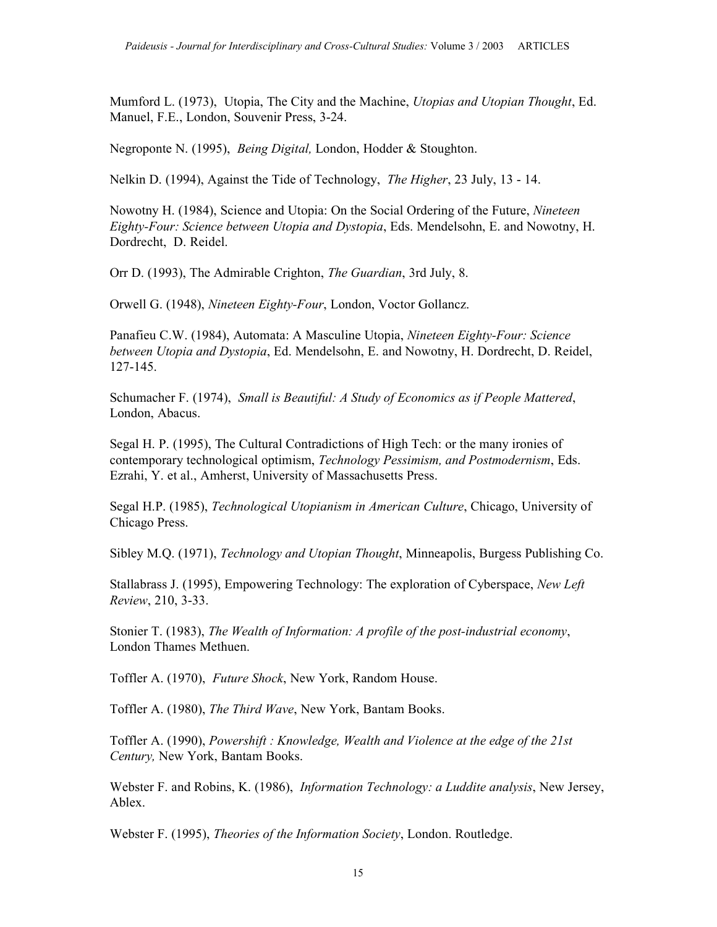Mumford L. (1973), Utopia, The City and the Machine, Utopias and Utopian Thought, Ed. Manuel, F.E., London, Souvenir Press, 3-24.

Negroponte N. (1995), *Being Digital*, London, Hodder & Stoughton.

Nelkin D. (1994), Against the Tide of Technology, The Higher, 23 July, 13 - 14.

Nowotny H. (1984), Science and Utopia: On the Social Ordering of the Future, Nineteen Eighty-Four: Science between Utopia and Dystopia, Eds. Mendelsohn, E. and Nowotny, H. Dordrecht, D. Reidel.

Orr D. (1993), The Admirable Crighton, The Guardian, 3rd July, 8.

Orwell G. (1948), Nineteen Eighty-Four, London, Voctor Gollancz.

Panafieu C.W. (1984), Automata: A Masculine Utopia, Nineteen Eighty-Four: Science between Utopia and Dystopia, Ed. Mendelsohn, E. and Nowotny, H. Dordrecht, D. Reidel, 127-145.

Schumacher F. (1974), Small is Beautiful: A Study of Economics as if People Mattered, London, Abacus.

Segal H. P. (1995), The Cultural Contradictions of High Tech: or the many ironies of contemporary technological optimism, Technology Pessimism, and Postmodernism, Eds. Ezrahi, Y. et al., Amherst, University of Massachusetts Press.

Segal H.P. (1985), Technological Utopianism in American Culture, Chicago, University of Chicago Press.

Sibley M.O. (1971), *Technology and Utopian Thought*, Minneapolis, Burgess Publishing Co.

Stallabrass J. (1995), Empowering Technology: The exploration of Cyberspace, New Left Review, 210, 3-33.

Stonier T. (1983), The Wealth of Information: A profile of the post-industrial economy, London Thames Methuen.

Toffler A. (1970), Future Shock, New York, Random House.

Toffler A. (1980), The Third Wave, New York, Bantam Books.

Toffler A. (1990), Powershift : Knowledge, Wealth and Violence at the edge of the 21st Century, New York, Bantam Books.

Webster F. and Robins, K. (1986), *Information Technology: a Luddite analysis*, New Jersey, Ablex.

Webster F. (1995), Theories of the Information Society, London. Routledge.